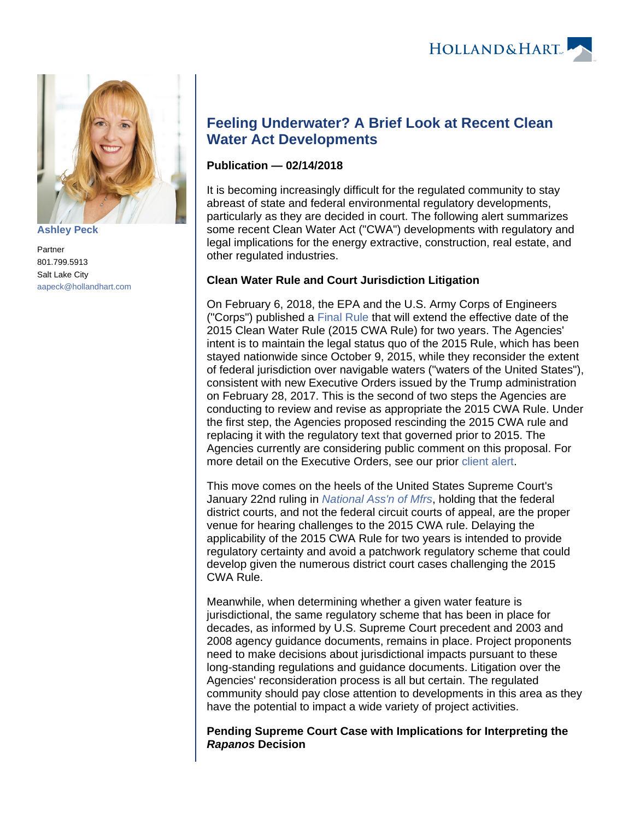

**[Ashley Peck](https://www.hollandhart.com/15749)**

Partner 801.799.5913 Salt Lake City [aapeck@hollandhart.com](mailto:aapeck@hollandhart.com)

# **Feeling Underwater? A Brief Look at Recent Clean Water Act Developments**

## **Publication — 02/14/2018**

It is becoming increasingly difficult for the regulated community to stay abreast of state and federal environmental regulatory developments, particularly as they are decided in court. The following alert summarizes some recent Clean Water Act ("CWA") developments with regulatory and legal implications for the energy extractive, construction, real estate, and other regulated industries.

### **Clean Water Rule and Court Jurisdiction Litigation**

On February 6, 2018, the EPA and the U.S. Army Corps of Engineers ("Corps") published a [Final Rule](https://www.epa.gov/sites/production/files/2018-02/documents/2018-02429_0.pdf) that will extend the effective date of the 2015 Clean Water Rule (2015 CWA Rule) for two years. The Agencies' intent is to maintain the legal status quo of the 2015 Rule, which has been stayed nationwide since October 9, 2015, while they reconsider the extent of federal jurisdiction over navigable waters ("waters of the United States"), consistent with new Executive Orders issued by the Trump administration on February 28, 2017. This is the second of two steps the Agencies are conducting to review and revise as appropriate the 2015 CWA Rule. Under the first step, the Agencies proposed rescinding the 2015 CWA rule and replacing it with the regulatory text that governed prior to 2015. The Agencies currently are considering public comment on this proposal. For more detail on the Executive Orders, see our prior [client alert](https://www.hollandhart.com/the-wotus-rule-the-more-things-change-the-more-they-stay-the-same).

This move comes on the heels of the United States Supreme Court's January 22nd ruling in [National Ass'n of Mfrs](https://www.supremecourt.gov/opinions/17pdf/16-299_8nk0.pdf), holding that the federal district courts, and not the federal circuit courts of appeal, are the proper venue for hearing challenges to the 2015 CWA rule. Delaying the applicability of the 2015 CWA Rule for two years is intended to provide regulatory certainty and avoid a patchwork regulatory scheme that could develop given the numerous district court cases challenging the 2015 CWA Rule.

Meanwhile, when determining whether a given water feature is jurisdictional, the same regulatory scheme that has been in place for decades, as informed by U.S. Supreme Court precedent and 2003 and 2008 agency guidance documents, remains in place. Project proponents need to make decisions about jurisdictional impacts pursuant to these long-standing regulations and guidance documents. Litigation over the Agencies' reconsideration process is all but certain. The regulated community should pay close attention to developments in this area as they have the potential to impact a wide variety of project activities.

**Pending Supreme Court Case with Implications for Interpreting the Rapanos Decision**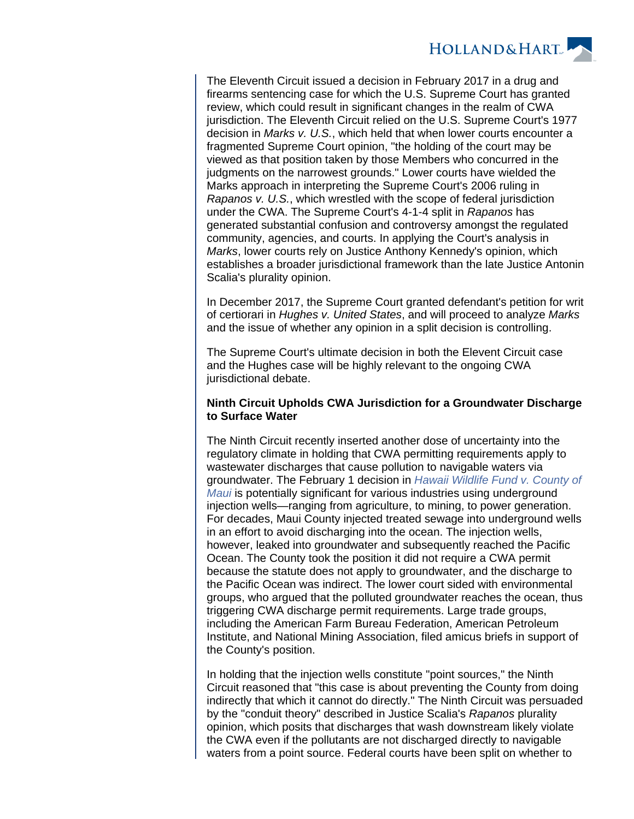

The Eleventh Circuit issued a decision in February 2017 in a drug and firearms sentencing case for which the U.S. Supreme Court has granted review, which could result in significant changes in the realm of CWA jurisdiction. The Eleventh Circuit relied on the U.S. Supreme Court's 1977 decision in Marks v. U.S., which held that when lower courts encounter a fragmented Supreme Court opinion, "the holding of the court may be viewed as that position taken by those Members who concurred in the judgments on the narrowest grounds." Lower courts have wielded the Marks approach in interpreting the Supreme Court's 2006 ruling in Rapanos v. U.S., which wrestled with the scope of federal jurisdiction under the CWA. The Supreme Court's 4-1-4 split in Rapanos has generated substantial confusion and controversy amongst the regulated community, agencies, and courts. In applying the Court's analysis in Marks, lower courts rely on Justice Anthony Kennedy's opinion, which establishes a broader jurisdictional framework than the late Justice Antonin Scalia's plurality opinion.

In December 2017, the Supreme Court granted defendant's petition for writ of certiorari in Hughes v. United States, and will proceed to analyze Marks and the issue of whether any opinion in a split decision is controlling.

The Supreme Court's ultimate decision in both the Elevent Circuit case and the Hughes case will be highly relevant to the ongoing CWA jurisdictional debate.

#### **Ninth Circuit Upholds CWA Jurisdiction for a Groundwater Discharge to Surface Water**

The Ninth Circuit recently inserted another dose of uncertainty into the regulatory climate in holding that CWA permitting requirements apply to wastewater discharges that cause pollution to navigable waters via groundwater. The February 1 decision in [Hawaii Wildlife Fund v. County of](http://cdn.ca9.uscourts.gov/datastore/opinions/2018/02/01/15-17447.pdf)  [Maui](http://cdn.ca9.uscourts.gov/datastore/opinions/2018/02/01/15-17447.pdf) is potentially significant for various industries using underground injection wells—ranging from agriculture, to mining, to power generation. For decades, Maui County injected treated sewage into underground wells in an effort to avoid discharging into the ocean. The injection wells, however, leaked into groundwater and subsequently reached the Pacific Ocean. The County took the position it did not require a CWA permit because the statute does not apply to groundwater, and the discharge to the Pacific Ocean was indirect. The lower court sided with environmental groups, who argued that the polluted groundwater reaches the ocean, thus triggering CWA discharge permit requirements. Large trade groups, including the American Farm Bureau Federation, American Petroleum Institute, and National Mining Association, filed amicus briefs in support of the County's position.

In holding that the injection wells constitute "point sources," the Ninth Circuit reasoned that "this case is about preventing the County from doing indirectly that which it cannot do directly." The Ninth Circuit was persuaded by the "conduit theory" described in Justice Scalia's Rapanos plurality opinion, which posits that discharges that wash downstream likely violate the CWA even if the pollutants are not discharged directly to navigable waters from a point source. Federal courts have been split on whether to